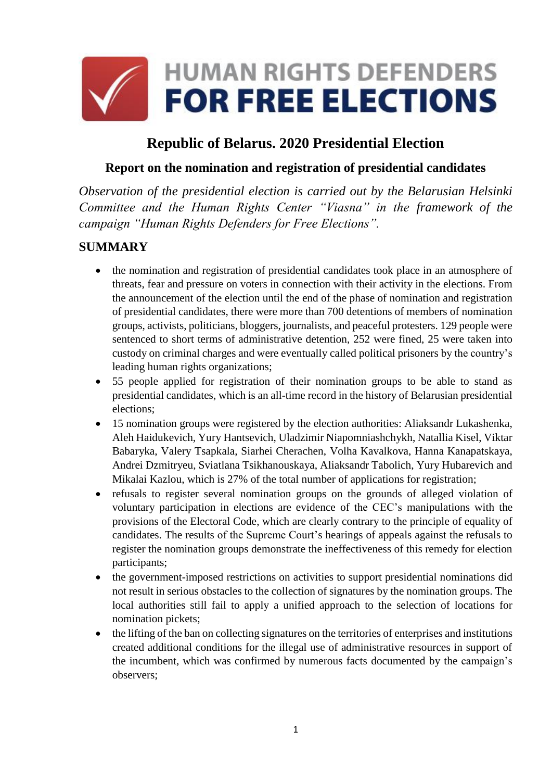

# **Republic of Belarus. 2020 Presidential Election**

### **Report on the nomination and registration of presidential candidates**

*Observation of the presidential election is carried out by the Belarusian Helsinki Committee and the Human Rights Center "Viasna" in the framework of the campaign "Human Rights Defenders for Free Elections".*

### **SUMMARY**

- the nomination and registration of presidential candidates took place in an atmosphere of threats, fear and pressure on voters in connection with their activity in the elections. From the announcement of the election until the end of the phase of nomination and registration of presidential candidates, there were more than 700 detentions of members of nomination groups, activists, politicians, bloggers, journalists, and peaceful protesters. 129 people were sentenced to short terms of administrative detention, 252 were fined, 25 were taken into custody on criminal charges and were eventually called political prisoners by the country's leading human rights organizations;
- 55 people applied for registration of their nomination groups to be able to stand as presidential candidates, which is an all-time record in the history of Belarusian presidential elections;
- 15 nomination groups were registered by the election authorities: Aliaksandr Lukashenka, Aleh Haidukevich, Yury Hantsevich, Uladzimir Niapomniashchykh, Natallia Kisel, Viktar Babaryka, Valery Tsapkala, Siarhei Cherachen, Volha Kavalkova, Hanna Kanapatskaya, Andrei Dzmitryeu, Sviatlana Tsikhanouskaya, Aliaksandr Tabolich, Yury Hubarevich and Mikalai Kazlou, which is 27% of the total number of applications for registration;
- refusals to register several nomination groups on the grounds of alleged violation of voluntary participation in elections are evidence of the CEC's manipulations with the provisions of the Electoral Code, which are clearly contrary to the principle of equality of candidates. The results of the Supreme Court's hearings of appeals against the refusals to register the nomination groups demonstrate the ineffectiveness of this remedy for election participants;
- the government-imposed restrictions on activities to support presidential nominations did not result in serious obstacles to the collection of signatures by the nomination groups. The local authorities still fail to apply a unified approach to the selection of locations for nomination pickets;
- the lifting of the ban on collecting signatures on the territories of enterprises and institutions created additional conditions for the illegal use of administrative resources in support of the incumbent, which was confirmed by numerous facts documented by the campaign's observers;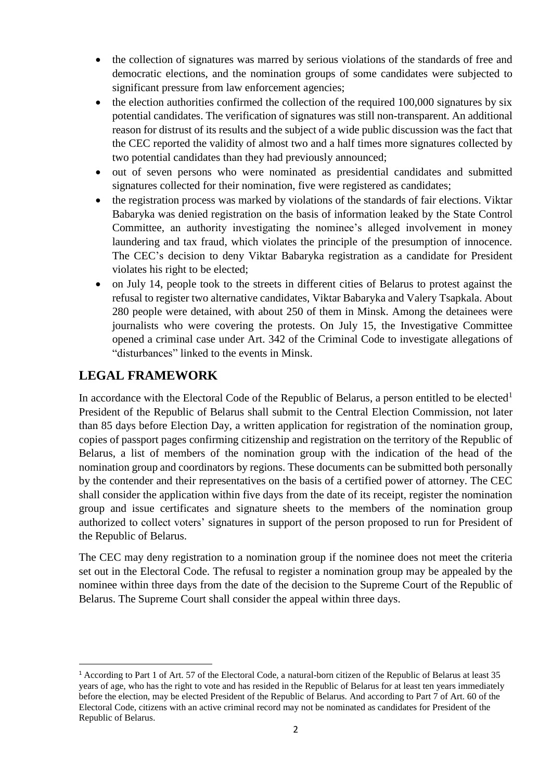- the collection of signatures was marred by serious violations of the standards of free and democratic elections, and the nomination groups of some candidates were subjected to significant pressure from law enforcement agencies;
- the election authorities confirmed the collection of the required 100,000 signatures by six potential candidates. The verification of signatures was still non-transparent. An additional reason for distrust of its results and the subject of a wide public discussion was the fact that the CEC reported the validity of almost two and a half times more signatures collected by two potential candidates than they had previously announced;
- out of seven persons who were nominated as presidential candidates and submitted signatures collected for their nomination, five were registered as candidates;
- the registration process was marked by violations of the standards of fair elections. Viktar Babaryka was denied registration on the basis of information leaked by the State Control Committee, an authority investigating the nominee's alleged involvement in money laundering and tax fraud, which violates the principle of the presumption of innocence. The CEC's decision to deny Viktar Babaryka registration as a candidate for President violates his right to be elected;
- on July 14, people took to the streets in different cities of Belarus to protest against the refusal to register two alternative candidates, Viktar Babaryka and Valery Tsapkala. About 280 people were detained, with about 250 of them in Minsk. Among the detainees were journalists who were covering the protests. On July 15, the Investigative Committee opened a criminal case under Art. 342 of the Criminal Code to investigate allegations of "disturbances" linked to the events in Minsk.

# **LEGAL FRAMEWORK**

**.** 

In accordance with the Electoral Code of the Republic of Belarus, a person entitled to be elected<sup>1</sup> President of the Republic of Belarus shall submit to the Central Election Commission, not later than 85 days before Election Day, a written application for registration of the nomination group, copies of passport pages confirming citizenship and registration on the territory of the Republic of Belarus, a list of members of the nomination group with the indication of the head of the nomination group and coordinators by regions. These documents can be submitted both personally by the contender and their representatives on the basis of a certified power of attorney. The CEC shall consider the application within five days from the date of its receipt, register the nomination group and issue certificates and signature sheets to the members of the nomination group authorized to collect voters' signatures in support of the person proposed to run for President of the Republic of Belarus.

The CEC may deny registration to a nomination group if the nominee does not meet the criteria set out in the Electoral Code. The refusal to register a nomination group may be appealed by the nominee within three days from the date of the decision to the Supreme Court of the Republic of Belarus. The Supreme Court shall consider the appeal within three days.

<sup>&</sup>lt;sup>1</sup> According to Part 1 of Art. 57 of the Electoral Code, a natural-born citizen of the Republic of Belarus at least 35 years of age, who has the right to vote and has resided in the Republic of Belarus for at least ten years immediately before the election, may be elected President of the Republic of Belarus. And according to Part 7 of Art. 60 of the Electoral Code, citizens with an active criminal record may not be nominated as candidates for President of the Republic of Belarus.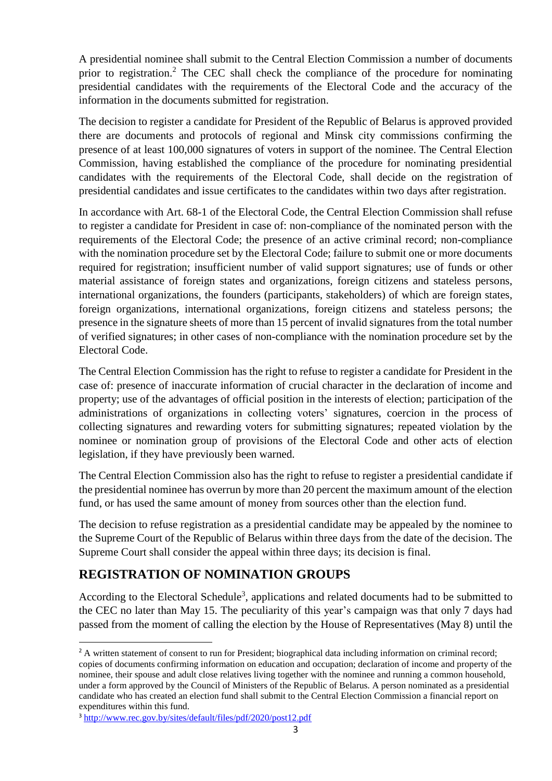A presidential nominee shall submit to the Central Election Commission a number of documents prior to registration.<sup>2</sup> The CEC shall check the compliance of the procedure for nominating presidential candidates with the requirements of the Electoral Code and the accuracy of the information in the documents submitted for registration.

The decision to register a candidate for President of the Republic of Belarus is approved provided there are documents and protocols of regional and Minsk city commissions confirming the presence of at least 100,000 signatures of voters in support of the nominee. The Central Election Commission, having established the compliance of the procedure for nominating presidential candidates with the requirements of the Electoral Code, shall decide on the registration of presidential candidates and issue certificates to the candidates within two days after registration.

In accordance with Art. 68-1 of the Electoral Code, the Central Election Commission shall refuse to register a candidate for President in case of: non-compliance of the nominated person with the requirements of the Electoral Code; the presence of an active criminal record; non-compliance with the nomination procedure set by the Electoral Code; failure to submit one or more documents required for registration; insufficient number of valid support signatures; use of funds or other material assistance of foreign states and organizations, foreign citizens and stateless persons, international organizations, the founders (participants, stakeholders) of which are foreign states, foreign organizations, international organizations, foreign citizens and stateless persons; the presence in the signature sheets of more than 15 percent of invalid signatures from the total number of verified signatures; in other cases of non-compliance with the nomination procedure set by the Electoral Code.

The Central Election Commission has the right to refuse to register a candidate for President in the case of: presence of inaccurate information of crucial character in the declaration of income and property; use of the advantages of official position in the interests of election; participation of the administrations of organizations in collecting voters' signatures, coercion in the process of collecting signatures and rewarding voters for submitting signatures; repeated violation by the nominee or nomination group of provisions of the Electoral Code and other acts of election legislation, if they have previously been warned.

The Central Election Commission also has the right to refuse to register a presidential candidate if the presidential nominee has overrun by more than 20 percent the maximum amount of the election fund, or has used the same amount of money from sources other than the election fund.

The decision to refuse registration as a presidential candidate may be appealed by the nominee to the Supreme Court of the Republic of Belarus within three days from the date of the decision. The Supreme Court shall consider the appeal within three days; its decision is final.

# **REGISTRATION OF NOMINATION GROUPS**

According to the Electoral Schedule<sup>3</sup>, applications and related documents had to be submitted to the CEC no later than May 15. The peculiarity of this year's campaign was that only 7 days had passed from the moment of calling the election by the House of Representatives (May 8) until the

**.** 

<sup>&</sup>lt;sup>2</sup> A written statement of consent to run for President; biographical data including information on criminal record; copies of documents confirming information on education and occupation; declaration of income and property of the nominee, their spouse and adult close relatives living together with the nominee and running a common household, under a form approved by the Council of Ministers of the Republic of Belarus. A person nominated as a presidential candidate who has created an election fund shall submit to the Central Election Commission a financial report on expenditures within this fund.

<sup>&</sup>lt;sup>3</sup> <http://www.rec.gov.by/sites/default/files/pdf/2020/post12.pdf>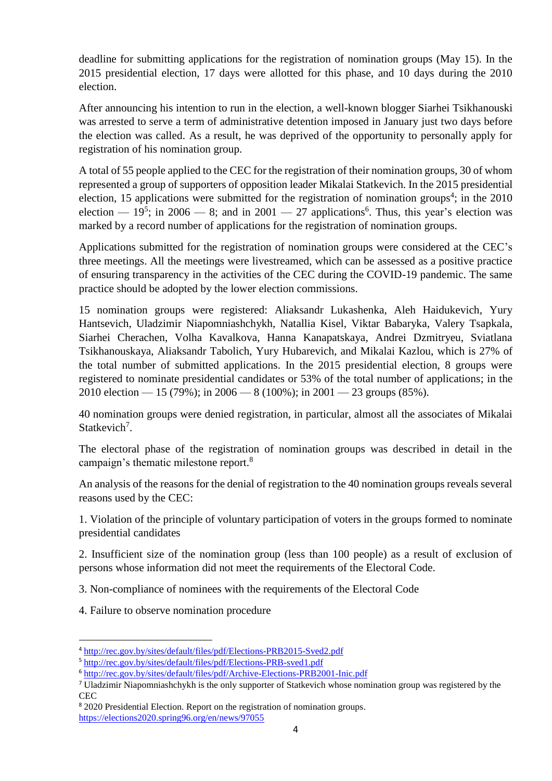deadline for submitting applications for the registration of nomination groups (May 15). In the 2015 presidential election, 17 days were allotted for this phase, and 10 days during the 2010 election.

After announcing his intention to run in the election, a well-known blogger Siarhei Tsikhanouski was arrested to serve a term of administrative detention imposed in January just two days before the election was called. As a result, he was deprived of the opportunity to personally apply for registration of his nomination group.

A total of 55 people applied to the CEC for the registration of their nomination groups, 30 of whom represented a group of supporters of opposition leader Mikalai Statkevich. In the 2015 presidential election, 15 applications were submitted for the registration of nomination groups<sup>4</sup>; in the  $2010$ election —  $19^5$ ; in 2006 — 8; and in 2001 — 27 applications<sup>6</sup>. Thus, this year's election was marked by a record number of applications for the registration of nomination groups.

Applications submitted for the registration of nomination groups were considered at the CEC's three meetings. All the meetings were livestreamed, which can be assessed as a positive practice of ensuring transparency in the activities of the CEC during the COVID-19 pandemic. The same practice should be adopted by the lower election commissions.

15 nomination groups were registered: Aliaksandr Lukashenka, Aleh Haidukevich, Yury Hantsevich, Uladzimir Niapomniashchykh, Natallia Kisel, Viktar Babaryka, Valery Tsapkala, Siarhei Cherachen, Volha Kavalkova, Hanna Kanapatskaya, Andrei Dzmitryeu, Sviatlana Tsikhanouskaya, Aliaksandr Tabolich, Yury Hubarevich, and Mikalai Kazlou, which is 27% of the total number of submitted applications. In the 2015 presidential election, 8 groups were registered to nominate presidential candidates or 53% of the total number of applications; in the 2010 election — 15 (79%); in 2006 — 8 (100%); in 2001 — 23 groups (85%).

40 nomination groups were denied registration, in particular, almost all the associates of Mikalai Statkevich<sup>7</sup>.

The electoral phase of the registration of nomination groups was described in detail in the campaign's thematic milestone report.<sup>8</sup>

An analysis of the reasons for the denial of registration to the 40 nomination groups reveals several reasons used by the CEC:

1. Violation of the principle of voluntary participation of voters in the groups formed to nominate presidential candidates

2. Insufficient size of the nomination group (less than 100 people) as a result of exclusion of persons whose information did not meet the requirements of the Electoral Code.

3. Non-compliance of nominees with the requirements of the Electoral Code

4. Failure to observe nomination procedure

1

<sup>4</sup> <http://rec.gov.by/sites/default/files/pdf/Elections-PRB2015-Sved2.pdf>

<sup>5</sup> <http://rec.gov.by/sites/default/files/pdf/Elections-PRB-sved1.pdf>

<sup>6</sup> <http://rec.gov.by/sites/default/files/pdf/Archive-Elections-PRB2001-Inic.pdf>

<sup>7</sup> Uladzimir Niapomniashchykh is the only supporter of Statkevich whose nomination group was registered by the **CEC** 

<sup>8</sup> 2020 Presidential Election. Report on the registration of nomination groups. <https://elections2020.spring96.org/en/news/97055>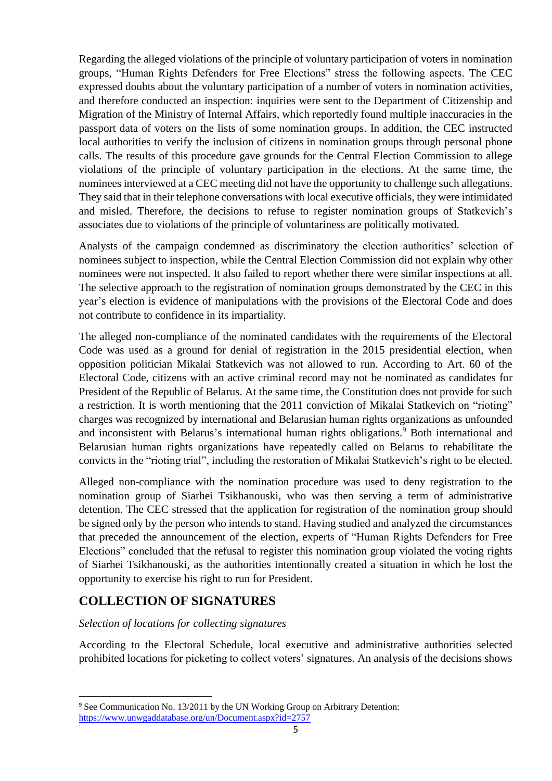Regarding the alleged violations of the principle of voluntary participation of voters in nomination groups, "Human Rights Defenders for Free Elections" stress the following aspects. The CEC expressed doubts about the voluntary participation of a number of voters in nomination activities, and therefore conducted an inspection: inquiries were sent to the Department of Citizenship and Migration of the Ministry of Internal Affairs, which reportedly found multiple inaccuracies in the passport data of voters on the lists of some nomination groups. In addition, the CEC instructed local authorities to verify the inclusion of citizens in nomination groups through personal phone calls. The results of this procedure gave grounds for the Central Election Commission to allege violations of the principle of voluntary participation in the elections. At the same time, the nominees interviewed at a CEC meeting did not have the opportunity to challenge such allegations. They said that in their telephone conversations with local executive officials, they were intimidated and misled. Therefore, the decisions to refuse to register nomination groups of Statkevich's associates due to violations of the principle of voluntariness are politically motivated.

Analysts of the campaign condemned as discriminatory the election authorities' selection of nominees subject to inspection, while the Central Election Commission did not explain why other nominees were not inspected. It also failed to report whether there were similar inspections at all. The selective approach to the registration of nomination groups demonstrated by the CEC in this year's election is evidence of manipulations with the provisions of the Electoral Code and does not contribute to confidence in its impartiality.

The alleged non-compliance of the nominated candidates with the requirements of the Electoral Code was used as a ground for denial of registration in the 2015 presidential election, when opposition politician Mikalai Statkevich was not allowed to run. According to Art. 60 of the Electoral Code, citizens with an active criminal record may not be nominated as candidates for President of the Republic of Belarus. At the same time, the Constitution does not provide for such a restriction. It is worth mentioning that the 2011 conviction of Mikalai Statkevich on "rioting" charges was recognized by international and Belarusian human rights organizations as unfounded and inconsistent with Belarus's international human rights obligations.<sup>9</sup> Both international and Belarusian human rights organizations have repeatedly called on Belarus to rehabilitate the convicts in the "rioting trial", including the restoration of Mikalai Statkevich's right to be elected.

Alleged non-compliance with the nomination procedure was used to deny registration to the nomination group of Siarhei Tsikhanouski, who was then serving a term of administrative detention. The CEC stressed that the application for registration of the nomination group should be signed only by the person who intends to stand. Having studied and analyzed the circumstances that preceded the announcement of the election, experts of "Human Rights Defenders for Free Elections" concluded that the refusal to register this nomination group violated the voting rights of Siarhei Tsikhanouski, as the authorities intentionally created a situation in which he lost the opportunity to exercise his right to run for President.

## **COLLECTION OF SIGNATURES**

1

#### *Selection of locations for collecting signatures*

According to the Electoral Schedule, local executive and administrative authorities selected prohibited locations for picketing to collect voters' signatures. An analysis of the decisions shows

<sup>&</sup>lt;sup>9</sup> See Communication No. 13/2011 by the UN Working Group on Arbitrary Detention: <https://www.unwgaddatabase.org/un/Document.aspx?id=2757>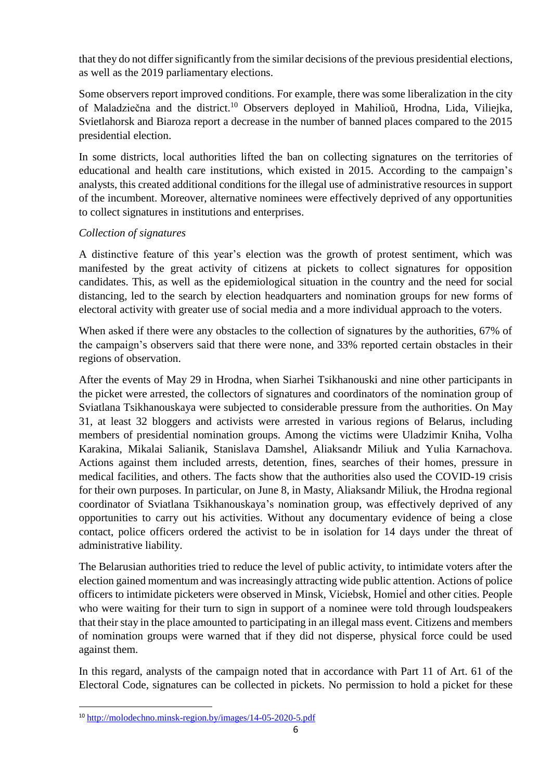that they do not differ significantly from the similar decisions of the previous presidential elections, as well as the 2019 parliamentary elections.

Some observers report improved conditions. For example, there was some liberalization in the city of Maladziečna and the district.<sup>10</sup> Observers deployed in Mahilioŭ, Hrodna, Lida, Viliejka, Svietlahorsk and Biaroza report a decrease in the number of banned places compared to the 2015 presidential election.

In some districts, local authorities lifted the ban on collecting signatures on the territories of educational and health care institutions, which existed in 2015. According to the campaign's analysts, this created additional conditions for the illegal use of administrative resources in support of the incumbent. Moreover, alternative nominees were effectively deprived of any opportunities to collect signatures in institutions and enterprises.

#### *Collection of signatures*

A distinctive feature of this year's election was the growth of protest sentiment, which was manifested by the great activity of citizens at pickets to collect signatures for opposition candidates. This, as well as the epidemiological situation in the country and the need for social distancing, led to the search by election headquarters and nomination groups for new forms of electoral activity with greater use of social media and a more individual approach to the voters.

When asked if there were any obstacles to the collection of signatures by the authorities, 67% of the campaign's observers said that there were none, and 33% reported certain obstacles in their regions of observation.

After the events of May 29 in Hrodna, when Siarhei Tsikhanouski and nine other participants in the picket were arrested, the collectors of signatures and coordinators of the nomination group of Sviatlana Tsikhanouskaya were subjected to considerable pressure from the authorities. On May 31, at least 32 bloggers and activists were arrested in various regions of Belarus, including members of presidential nomination groups. Among the victims were Uladzimir Kniha, Volha Karakina, Mikalai Salianik, Stanislava Damshel, Aliaksandr Miliuk and Yulia Karnachova. Actions against them included arrests, detention, fines, searches of their homes, pressure in medical facilities, and others. The facts show that the authorities also used the COVID-19 crisis for their own purposes. In particular, on June 8, in Masty, Aliaksandr Miliuk, the Hrodna regional coordinator of Sviatlana Tsikhanouskaya's nomination group, was effectively deprived of any opportunities to carry out his activities. Without any documentary evidence of being a close contact, police officers ordered the activist to be in isolation for 14 days under the threat of administrative liability.

The Belarusian authorities tried to reduce the level of public activity, to intimidate voters after the election gained momentum and was increasingly attracting wide public attention. Actions of police officers to intimidate picketers were observed in Minsk, Viciebsk, Homieĺ and other cities. People who were waiting for their turn to sign in support of a nominee were told through loudspeakers that their stay in the place amounted to participating in an illegal mass event. Citizens and members of nomination groups were warned that if they did not disperse, physical force could be used against them.

In this regard, analysts of the campaign noted that in accordance with Part 11 of Art. 61 of the Electoral Code, signatures can be collected in pickets. No permission to hold a picket for these

**<sup>.</sup>** <sup>10</sup> <http://molodechno.minsk-region.by/images/14-05-2020-5.pdf>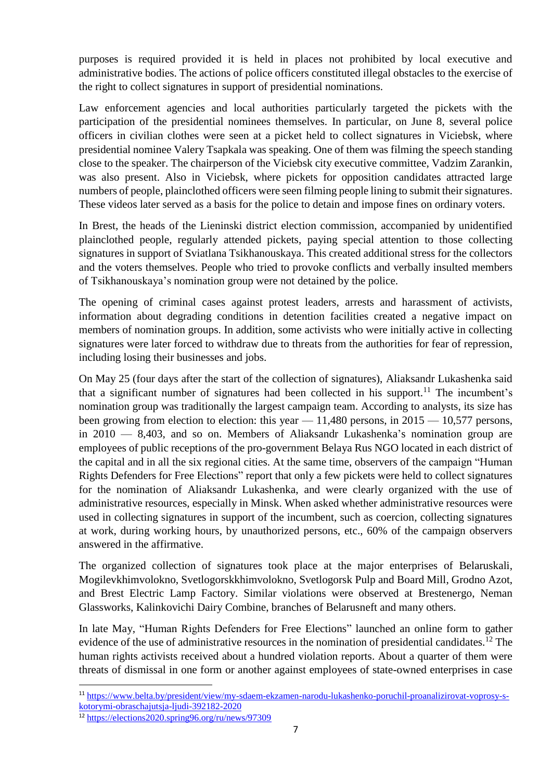purposes is required provided it is held in places not prohibited by local executive and administrative bodies. The actions of police officers constituted illegal obstacles to the exercise of the right to collect signatures in support of presidential nominations.

Law enforcement agencies and local authorities particularly targeted the pickets with the participation of the presidential nominees themselves. In particular, on June 8, several police officers in civilian clothes were seen at a picket held to collect signatures in Viciebsk, where presidential nominee Valery Tsapkala was speaking. One of them was filming the speech standing close to the speaker. The chairperson of the Viciebsk city executive committee, Vadzim Zarankin, was also present. Also in Viciebsk, where pickets for opposition candidates attracted large numbers of people, plainclothed officers were seen filming people lining to submit their signatures. These videos later served as a basis for the police to detain and impose fines on ordinary voters.

In Brest, the heads of the Lieninski district election commission, accompanied by unidentified plainclothed people, regularly attended pickets, paying special attention to those collecting signatures in support of Sviatlana Tsikhanouskaya. This created additional stress for the collectors and the voters themselves. People who tried to provoke conflicts and verbally insulted members of Tsikhanouskaya's nomination group were not detained by the police.

The opening of criminal cases against protest leaders, arrests and harassment of activists, information about degrading conditions in detention facilities created a negative impact on members of nomination groups. In addition, some activists who were initially active in collecting signatures were later forced to withdraw due to threats from the authorities for fear of repression, including losing their businesses and jobs.

On May 25 (four days after the start of the collection of signatures), Aliaksandr Lukashenka said that a significant number of signatures had been collected in his support.<sup>11</sup> The incumbent's nomination group was traditionally the largest campaign team. According to analysts, its size has been growing from election to election: this year  $-11,480$  persons, in  $2015 - 10,577$  persons, in 2010 — 8,403, and so on. Members of Aliaksandr Lukashenka's nomination group are employees of public receptions of the pro-government Belaya Rus NGO located in each district of the capital and in all the six regional cities. At the same time, observers of the campaign "Human Rights Defenders for Free Elections" report that only a few pickets were held to collect signatures for the nomination of Aliaksandr Lukashenka, and were clearly organized with the use of administrative resources, especially in Minsk. When asked whether administrative resources were used in collecting signatures in support of the incumbent, such as coercion, collecting signatures at work, during working hours, by unauthorized persons, etc., 60% of the campaign observers answered in the affirmative.

The organized collection of signatures took place at the major enterprises of Belaruskali, Mogilevkhimvolokno, Svetlogorskkhimvolokno, Svetlogorsk Pulp and Board Mill, Grodno Azot, and Brest Electric Lamp Factory. Similar violations were observed at Brestenergo, Neman Glassworks, Kalinkovichi Dairy Combine, branches of Belarusneft and many others.

In late May, "Human Rights Defenders for Free Elections" launched an online form to gather evidence of the use of administrative resources in the nomination of presidential candidates.<sup>12</sup> The human rights activists received about a hundred violation reports. About a quarter of them were threats of dismissal in one form or another against employees of state-owned enterprises in case

**.** 

<sup>11</sup> [https://www.belta.by/president/view/my-sdaem-ekzamen-narodu-lukashenko-poruchil-proanalizirovat-voprosy-s](https://www.belta.by/president/view/my-sdaem-ekzamen-narodu-lukashenko-poruchil-proanalizirovat-voprosy-s-kotorymi-obraschajutsja-ljudi-392182-2020)[kotorymi-obraschajutsja-ljudi-392182-2020](https://www.belta.by/president/view/my-sdaem-ekzamen-narodu-lukashenko-poruchil-proanalizirovat-voprosy-s-kotorymi-obraschajutsja-ljudi-392182-2020)

<sup>12</sup> <https://elections2020.spring96.org/ru/news/97309>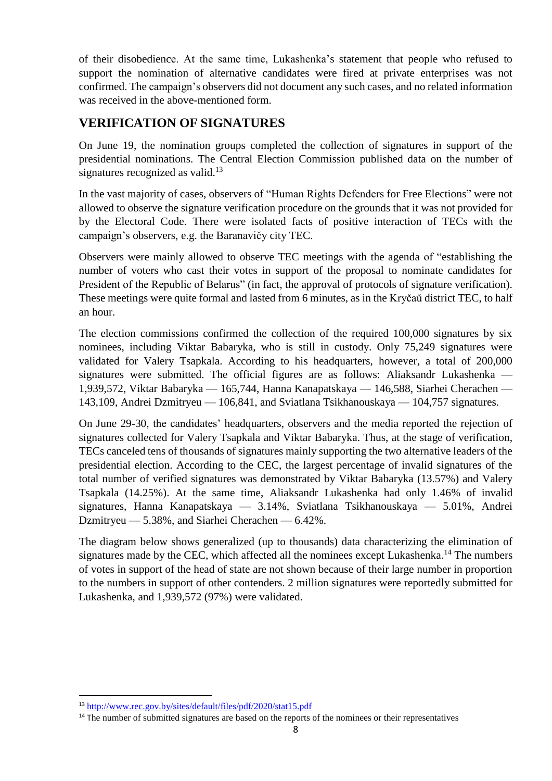of their disobedience. At the same time, Lukashenka's statement that people who refused to support the nomination of alternative candidates were fired at private enterprises was not confirmed. The campaign's observers did not document any such cases, and no related information was received in the above-mentioned form.

## **VERIFICATION OF SIGNATURES**

On June 19, the nomination groups completed the collection of signatures in support of the presidential nominations. The Central Election Commission published data on the number of signatures recognized as valid. $13$ 

In the vast majority of cases, observers of "Human Rights Defenders for Free Elections" were not allowed to observe the signature verification procedure on the grounds that it was not provided for by the Electoral Code. There were isolated facts of positive interaction of TECs with the campaign's observers, e.g. the Baranavičy city TEC.

Observers were mainly allowed to observe TEC meetings with the agenda of "establishing the number of voters who cast their votes in support of the proposal to nominate candidates for President of the Republic of Belarus" (in fact, the approval of protocols of signature verification). These meetings were quite formal and lasted from 6 minutes, as in the Kryčaŭ district TEC, to half an hour.

The election commissions confirmed the collection of the required 100,000 signatures by six nominees, including Viktar Babaryka, who is still in custody. Only 75,249 signatures were validated for Valery Tsapkala. According to his headquarters, however, a total of 200,000 signatures were submitted. The official figures are as follows: Aliaksandr Lukashenka — 1,939,572, Viktar Babaryka — 165,744, Hanna Kanapatskaya — 146,588, Siarhei Cherachen — 143,109, Andrei Dzmitryeu — 106,841, and Sviatlana Tsikhanouskaya — 104,757 signatures.

On June 29-30, the candidates' headquarters, observers and the media reported the rejection of signatures collected for Valery Tsapkala and Viktar Babaryka. Thus, at the stage of verification, TECs canceled tens of thousands of signatures mainly supporting the two alternative leaders of the presidential election. According to the CEC, the largest percentage of invalid signatures of the total number of verified signatures was demonstrated by Viktar Babaryka (13.57%) and Valery Tsapkala (14.25%). At the same time, Aliaksandr Lukashenka had only 1.46% of invalid signatures, Hanna Kanapatskaya — 3.14%, Sviatlana Tsikhanouskaya — 5.01%, Andrei Dzmitryeu — 5.38%, and Siarhei Cherachen — 6.42%.

The diagram below shows generalized (up to thousands) data characterizing the elimination of signatures made by the CEC, which affected all the nominees except Lukashenka.<sup>14</sup> The numbers of votes in support of the head of state are not shown because of their large number in proportion to the numbers in support of other contenders. 2 million signatures were reportedly submitted for Lukashenka, and 1,939,572 (97%) were validated.

1

<sup>13</sup> <http://www.rec.gov.by/sites/default/files/pdf/2020/stat15.pdf>

<sup>&</sup>lt;sup>14</sup> The number of submitted signatures are based on the reports of the nominees or their representatives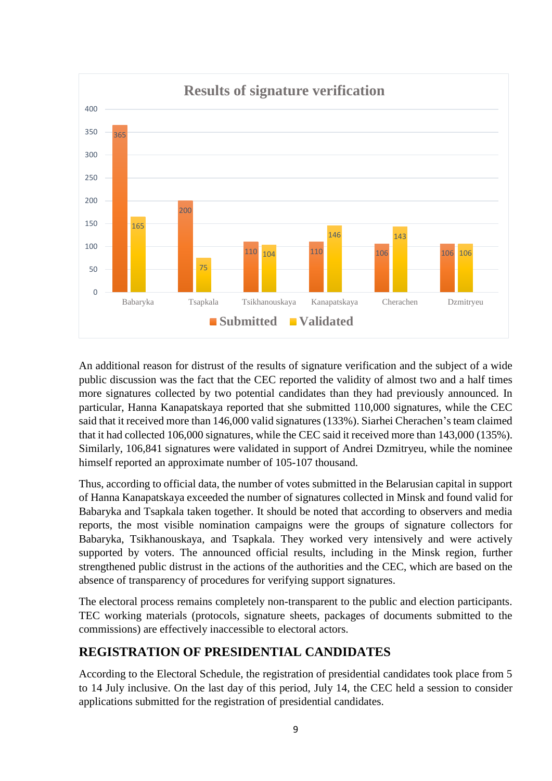

An additional reason for distrust of the results of signature verification and the subject of a wide public discussion was the fact that the CEC reported the validity of almost two and a half times more signatures collected by two potential candidates than they had previously announced. In particular, Hanna Kanapatskaya reported that she submitted 110,000 signatures, while the CEC said that it received more than 146,000 valid signatures (133%). Siarhei Cherachen's team claimed that it had collected 106,000 signatures, while the CEC said it received more than 143,000 (135%). Similarly, 106,841 signatures were validated in support of Andrei Dzmitryeu, while the nominee himself reported an approximate number of 105-107 thousand.

Thus, according to official data, the number of votes submitted in the Belarusian capital in support of Hanna Kanapatskaya exceeded the number of signatures collected in Minsk and found valid for Babaryka and Tsapkala taken together. It should be noted that according to observers and media reports, the most visible nomination campaigns were the groups of signature collectors for Babaryka, Tsikhanouskaya, and Tsapkala. They worked very intensively and were actively supported by voters. The announced official results, including in the Minsk region, further strengthened public distrust in the actions of the authorities and the CEC, which are based on the absence of transparency of procedures for verifying support signatures.

The electoral process remains completely non-transparent to the public and election participants. TEC working materials (protocols, signature sheets, packages of documents submitted to the commissions) are effectively inaccessible to electoral actors.

## **REGISTRATION OF PRESIDENTIAL CANDIDATES**

According to the Electoral Schedule, the registration of presidential candidates took place from 5 to 14 July inclusive. On the last day of this period, July 14, the CEC held a session to consider applications submitted for the registration of presidential candidates.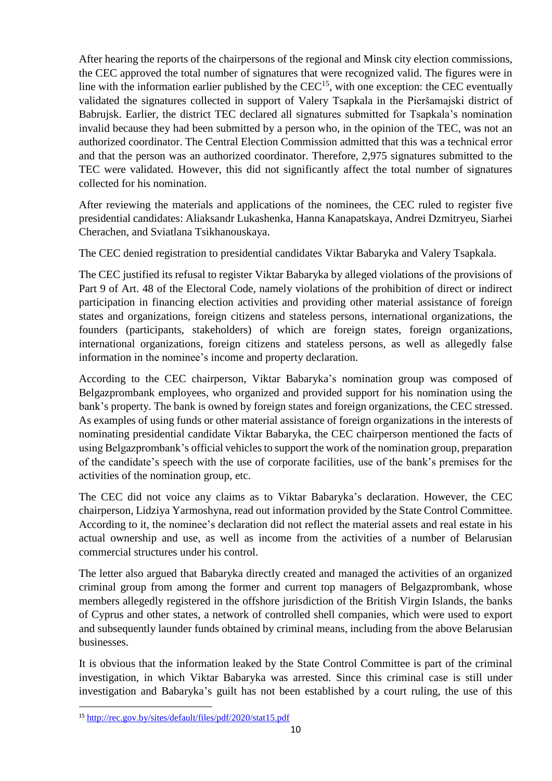After hearing the reports of the chairpersons of the regional and Minsk city election commissions, the CEC approved the total number of signatures that were recognized valid. The figures were in line with the information earlier published by the  $CEC<sup>15</sup>$ , with one exception: the CEC eventually validated the signatures collected in support of Valery Tsapkala in the Pieršamajski district of Babrujsk. Earlier, the district TEC declared all signatures submitted for Tsapkala's nomination invalid because they had been submitted by a person who, in the opinion of the TEC, was not an authorized coordinator. The Central Election Commission admitted that this was a technical error and that the person was an authorized coordinator. Therefore, 2,975 signatures submitted to the TEC were validated. However, this did not significantly affect the total number of signatures collected for his nomination.

After reviewing the materials and applications of the nominees, the CEC ruled to register five presidential candidates: Aliaksandr Lukashenka, Hanna Kanapatskaya, Andrei Dzmitryeu, Siarhei Cherachen, and Sviatlana Tsikhanouskaya.

The CEC denied registration to presidential candidates Viktar Babaryka and Valery Tsapkala.

The CEC justified its refusal to register Viktar Babaryka by alleged violations of the provisions of Part 9 of Art. 48 of the Electoral Code, namely violations of the prohibition of direct or indirect participation in financing election activities and providing other material assistance of foreign states and organizations, foreign citizens and stateless persons, international organizations, the founders (participants, stakeholders) of which are foreign states, foreign organizations, international organizations, foreign citizens and stateless persons, as well as allegedly false information in the nominee's income and property declaration.

According to the CEC chairperson, Viktar Babaryka's nomination group was composed of Belgazprombank employees, who organized and provided support for his nomination using the bank's property. The bank is owned by foreign states and foreign organizations, the CEC stressed. As examples of using funds or other material assistance of foreign organizations in the interests of nominating presidential candidate Viktar Babaryka, the CEC chairperson mentioned the facts of using Belgazprombank's official vehicles to support the work of the nomination group, preparation of the candidate's speech with the use of corporate facilities, use of the bank's premises for the activities of the nomination group, etc.

The CEC did not voice any claims as to Viktar Babaryka's declaration. However, the CEC chairperson, Lidziya Yarmoshyna, read out information provided by the State Control Committee. According to it, the nominee's declaration did not reflect the material assets and real estate in his actual ownership and use, as well as income from the activities of a number of Belarusian commercial structures under his control.

The letter also argued that Babaryka directly created and managed the activities of an organized criminal group from among the former and current top managers of Belgazprombank, whose members allegedly registered in the offshore jurisdiction of the British Virgin Islands, the banks of Cyprus and other states, a network of controlled shell companies, which were used to export and subsequently launder funds obtained by criminal means, including from the above Belarusian businesses.

It is obvious that the information leaked by the State Control Committee is part of the criminal investigation, in which Viktar Babaryka was arrested. Since this criminal case is still under investigation and Babaryka's guilt has not been established by a court ruling, the use of this

**<sup>.</sup>** <sup>15</sup> <http://rec.gov.by/sites/default/files/pdf/2020/stat15.pdf>